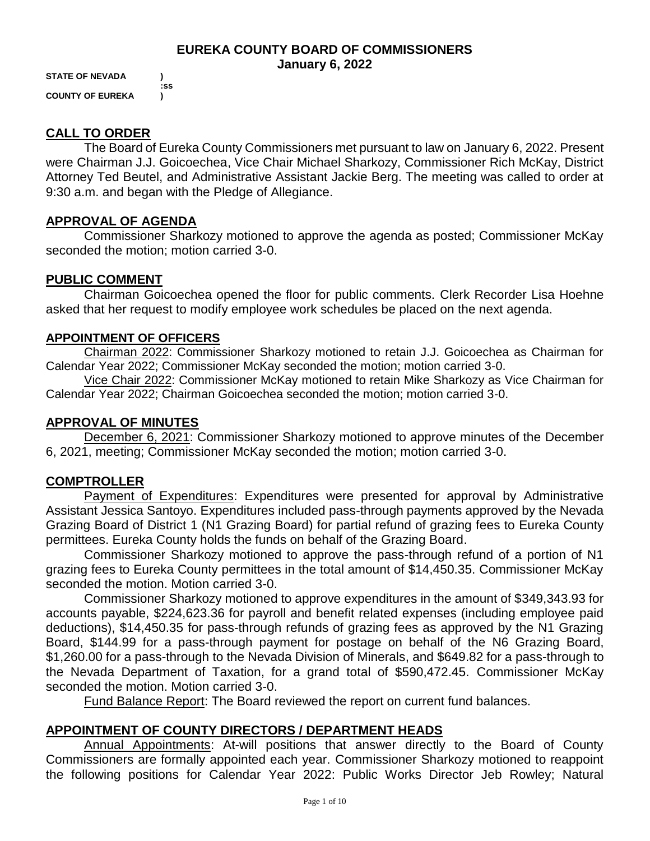### **EUREKA COUNTY BOARD OF COMMISSIONERS January 6, 2022**

**STATE OF NEVADA ) :ss COUNTY OF EUREKA )**

## **CALL TO ORDER**

The Board of Eureka County Commissioners met pursuant to law on January 6, 2022. Present were Chairman J.J. Goicoechea, Vice Chair Michael Sharkozy, Commissioner Rich McKay, District Attorney Ted Beutel, and Administrative Assistant Jackie Berg. The meeting was called to order at 9:30 a.m. and began with the Pledge of Allegiance.

## **APPROVAL OF AGENDA**

Commissioner Sharkozy motioned to approve the agenda as posted; Commissioner McKay seconded the motion; motion carried 3-0.

## **PUBLIC COMMENT**

Chairman Goicoechea opened the floor for public comments. Clerk Recorder Lisa Hoehne asked that her request to modify employee work schedules be placed on the next agenda.

### **APPOINTMENT OF OFFICERS**

Chairman 2022: Commissioner Sharkozy motioned to retain J.J. Goicoechea as Chairman for Calendar Year 2022; Commissioner McKay seconded the motion; motion carried 3-0.

Vice Chair 2022: Commissioner McKay motioned to retain Mike Sharkozy as Vice Chairman for Calendar Year 2022; Chairman Goicoechea seconded the motion; motion carried 3-0.

## **APPROVAL OF MINUTES**

December 6, 2021: Commissioner Sharkozy motioned to approve minutes of the December 6, 2021, meeting; Commissioner McKay seconded the motion; motion carried 3-0.

## **COMPTROLLER**

Payment of Expenditures: Expenditures were presented for approval by Administrative Assistant Jessica Santoyo. Expenditures included pass-through payments approved by the Nevada Grazing Board of District 1 (N1 Grazing Board) for partial refund of grazing fees to Eureka County permittees. Eureka County holds the funds on behalf of the Grazing Board.

Commissioner Sharkozy motioned to approve the pass-through refund of a portion of N1 grazing fees to Eureka County permittees in the total amount of \$14,450.35. Commissioner McKay seconded the motion. Motion carried 3-0.

Commissioner Sharkozy motioned to approve expenditures in the amount of \$349,343.93 for accounts payable, \$224,623.36 for payroll and benefit related expenses (including employee paid deductions), \$14,450.35 for pass-through refunds of grazing fees as approved by the N1 Grazing Board, \$144.99 for a pass-through payment for postage on behalf of the N6 Grazing Board, \$1,260.00 for a pass-through to the Nevada Division of Minerals, and \$649.82 for a pass-through to the Nevada Department of Taxation, for a grand total of \$590,472.45. Commissioner McKay seconded the motion. Motion carried 3-0.

Fund Balance Report: The Board reviewed the report on current fund balances.

## **APPOINTMENT OF COUNTY DIRECTORS / DEPARTMENT HEADS**

Annual Appointments: At-will positions that answer directly to the Board of County Commissioners are formally appointed each year. Commissioner Sharkozy motioned to reappoint the following positions for Calendar Year 2022: Public Works Director Jeb Rowley; Natural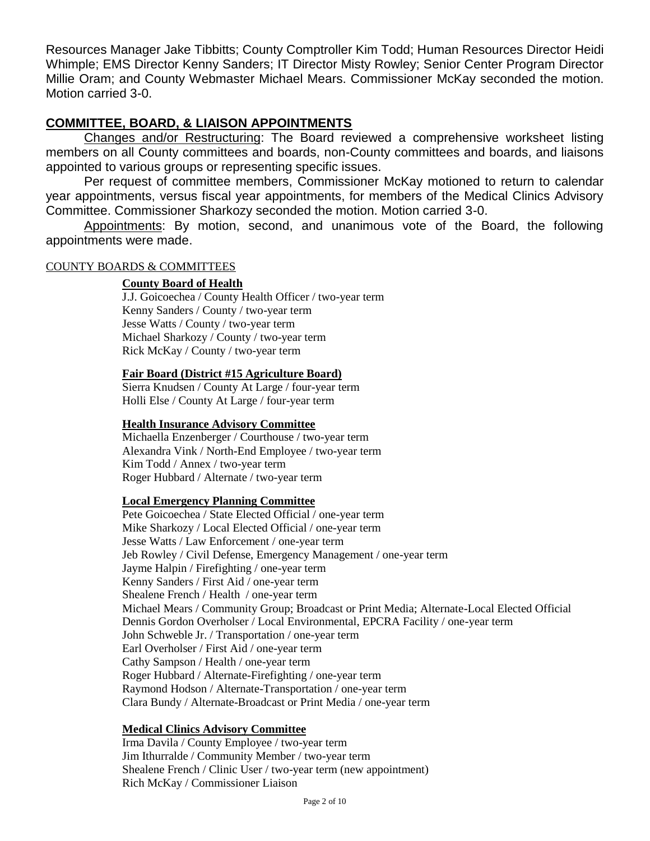Resources Manager Jake Tibbitts; County Comptroller Kim Todd; Human Resources Director Heidi Whimple; EMS Director Kenny Sanders; IT Director Misty Rowley; Senior Center Program Director Millie Oram; and County Webmaster Michael Mears. Commissioner McKay seconded the motion. Motion carried 3-0.

## **COMMITTEE, BOARD, & LIAISON APPOINTMENTS**

Changes and/or Restructuring: The Board reviewed a comprehensive worksheet listing members on all County committees and boards, non-County committees and boards, and liaisons appointed to various groups or representing specific issues.

Per request of committee members, Commissioner McKay motioned to return to calendar year appointments, versus fiscal year appointments, for members of the Medical Clinics Advisory Committee. Commissioner Sharkozy seconded the motion. Motion carried 3-0.

Appointments: By motion, second, and unanimous vote of the Board, the following appointments were made.

### COUNTY BOARDS & COMMITTEES

### **County Board of Health**

J.J. Goicoechea / County Health Officer / two-year term Kenny Sanders / County / two-year term Jesse Watts / County / two-year term Michael Sharkozy / County / two-year term Rick McKay / County / two-year term

#### **Fair Board (District #15 Agriculture Board)**

Sierra Knudsen / County At Large / four-year term Holli Else / County At Large / four-year term

#### **Health Insurance Advisory Committee**

Michaella Enzenberger / Courthouse / two-year term Alexandra Vink / North-End Employee / two-year term Kim Todd / Annex / two-year term Roger Hubbard / Alternate / two-year term

#### **Local Emergency Planning Committee**

Pete Goicoechea / State Elected Official / one-year term Mike Sharkozy / Local Elected Official / one-year term Jesse Watts / Law Enforcement / one-year term Jeb Rowley / Civil Defense, Emergency Management / one-year term Jayme Halpin / Firefighting / one-year term Kenny Sanders / First Aid / one-year term Shealene French / Health / one-year term Michael Mears / Community Group; Broadcast or Print Media; Alternate-Local Elected Official Dennis Gordon Overholser / Local Environmental, EPCRA Facility / one-year term John Schweble Jr. / Transportation / one-year term Earl Overholser / First Aid / one-year term Cathy Sampson / Health / one-year term Roger Hubbard / Alternate-Firefighting / one-year term Raymond Hodson / Alternate-Transportation / one-year term Clara Bundy / Alternate-Broadcast or Print Media / one-year term

#### **Medical Clinics Advisory Committee**

Irma Davila / County Employee / two-year term Jim Ithurralde / Community Member / two-year term Shealene French / Clinic User / two-year term (new appointment) Rich McKay / Commissioner Liaison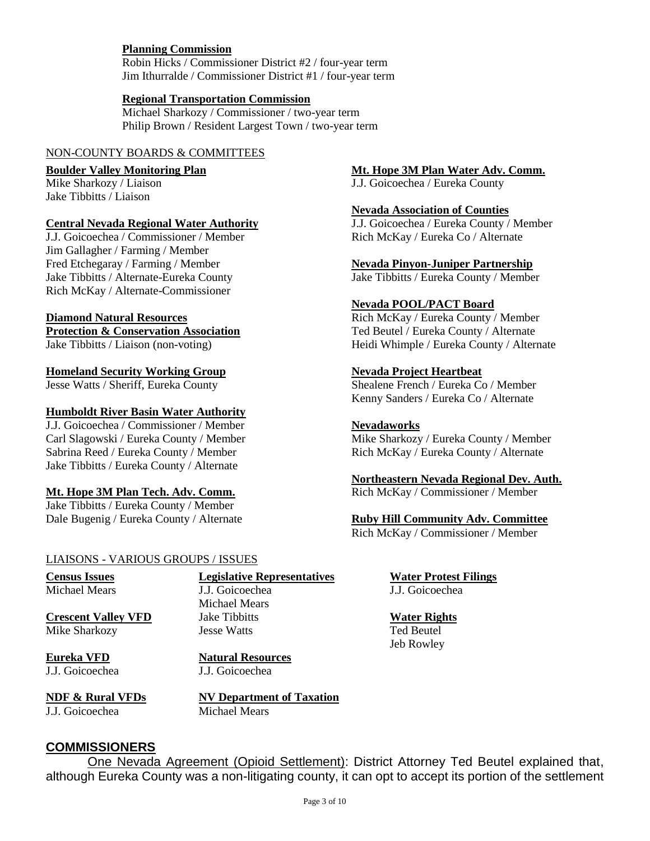### **Planning Commission**

Robin Hicks / Commissioner District #2 / four-year term Jim Ithurralde / Commissioner District #1 / four-year term

#### **Regional Transportation Commission**

Michael Sharkozy / Commissioner / two-year term Philip Brown / Resident Largest Town / two-year term

#### NON-COUNTY BOARDS & COMMITTEES

Jake Tibbitts / Liaison

### **Central Nevada Regional Water Authority** J.J. Goicoechea / Eureka County / Member

J.J. Goicoechea / Commissioner / Member Rich McKay / Eureka Co / Alternate Jim Gallagher / Farming / Member Fred Etchegaray / Farming / Member **Nevada Pinyon-Juniper Partnership**<br>Jake Tibbitts / Alternate-Eureka County **New State County Alternate** Rich McKay / Alternate-Commissioner

**Protection & Conservation Association** Ted Beutel / Eureka County / Alternate

#### **Homeland Security Working Group Nevada Project Heartbeat**

#### **Humboldt River Basin Water Authority**

J.J. Goicoechea / Commissioner / Member **Nevadaworks** Carl Slagowski / Eureka County / Member Mike Sharkozy / Eureka County / Member Sabrina Reed / Eureka County / Member Rich McKay / Eureka County / Alternate Jake Tibbitts / Eureka County / Alternate

#### **Mt. Hope 3M Plan Tech. Adv. Comm.**

Jake Tibbitts / Eureka County / Member Dale Bugenig / Eureka County / Alternate **Ruby Hill Community Adv. Committee** 

#### LIAISONS - VARIOUS GROUPS / ISSUES

Michael Mears J.J. Goicoechea J.J. Goicoechea

**Crescent Valley VFD** Jake Tibbitts **Water Rights Water Rights** Mike Sharkozy **Jesse Watts** Ted Beutel

J.J. Goicoechea J.J. Goicoechea

**Census Issues Legislative Representatives Water Protest Filings**

Michael Mears

**Eureka VFD Natural Resources**

J.J. Goicoechea Michael Mears

**NDF & Rural VFDs NV Department of Taxation**

## **COMMISSIONERS**

One Nevada Agreement (Opioid Settlement): District Attorney Ted Beutel explained that, although Eureka County was a non-litigating county, it can opt to accept its portion of the settlement

### **Boulder Valley Monitoring Plan** MIL Hope 3M Plan Water Adv. Comm.

Mike Sharkozy / Liaison J.J. Goicoechea / Eureka County

**Nevada Association of Counties**

Jake Tibbitts / Eureka County / Member

#### **Nevada POOL/PACT Board**

**Diamond Natural Resources Rich McKay / Eureka County / Member** Rich McKay / Eureka County / Member Jake Tibbitts / Liaison (non-voting) Heidi Whimple / Eureka County / Alternate

Jesse Watts / Sheriff, Eureka County Shealene French / Eureka Co / Member Kenny Sanders / Eureka Co / Alternate

# **Northeastern Nevada Regional Dev. Auth.**

Rich McKay / Commissioner / Member

Jeb Rowley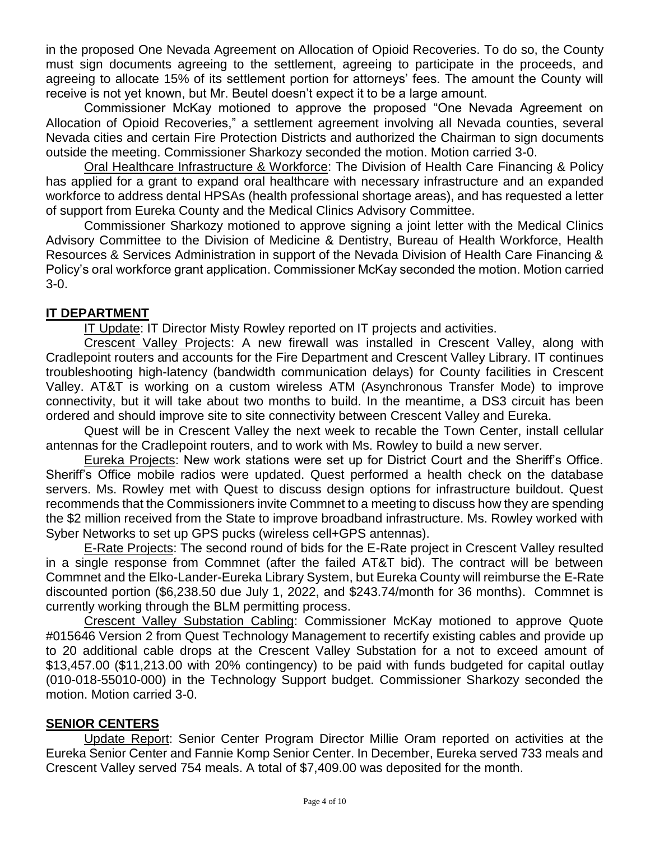in the proposed One Nevada Agreement on Allocation of Opioid Recoveries. To do so, the County must sign documents agreeing to the settlement, agreeing to participate in the proceeds, and agreeing to allocate 15% of its settlement portion for attorneys' fees. The amount the County will receive is not yet known, but Mr. Beutel doesn't expect it to be a large amount.

Commissioner McKay motioned to approve the proposed "One Nevada Agreement on Allocation of Opioid Recoveries," a settlement agreement involving all Nevada counties, several Nevada cities and certain Fire Protection Districts and authorized the Chairman to sign documents outside the meeting. Commissioner Sharkozy seconded the motion. Motion carried 3-0.

Oral Healthcare Infrastructure & Workforce: The Division of Health Care Financing & Policy has applied for a grant to expand oral healthcare with necessary infrastructure and an expanded workforce to address dental HPSAs (health professional shortage areas), and has requested a letter of support from Eureka County and the Medical Clinics Advisory Committee.

Commissioner Sharkozy motioned to approve signing a joint letter with the Medical Clinics Advisory Committee to the Division of Medicine & Dentistry, Bureau of Health Workforce, Health Resources & Services Administration in support of the Nevada Division of Health Care Financing & Policy's oral workforce grant application. Commissioner McKay seconded the motion. Motion carried 3-0.

## **IT DEPARTMENT**

IT Update: IT Director Misty Rowley reported on IT projects and activities.

Crescent Valley Projects: A new firewall was installed in Crescent Valley, along with Cradlepoint routers and accounts for the Fire Department and Crescent Valley Library. IT continues troubleshooting high-latency (bandwidth communication delays) for County facilities in Crescent Valley. AT&T is working on a custom wireless ATM (Asynchronous Transfer Mode) to improve connectivity, but it will take about two months to build. In the meantime, a DS3 circuit has been ordered and should improve site to site connectivity between Crescent Valley and Eureka.

Quest will be in Crescent Valley the next week to recable the Town Center, install cellular antennas for the Cradlepoint routers, and to work with Ms. Rowley to build a new server.

Eureka Projects: New work stations were set up for District Court and the Sheriff's Office. Sheriff's Office mobile radios were updated. Quest performed a health check on the database servers. Ms. Rowley met with Quest to discuss design options for infrastructure buildout. Quest recommends that the Commissioners invite Commnet to a meeting to discuss how they are spending the \$2 million received from the State to improve broadband infrastructure. Ms. Rowley worked with Syber Networks to set up GPS pucks (wireless cell+GPS antennas).

E-Rate Projects: The second round of bids for the E-Rate project in Crescent Valley resulted in a single response from Commnet (after the failed AT&T bid). The contract will be between Commnet and the Elko-Lander-Eureka Library System, but Eureka County will reimburse the E-Rate discounted portion (\$6,238.50 due July 1, 2022, and \$243.74/month for 36 months). Commnet is currently working through the BLM permitting process.

Crescent Valley Substation Cabling: Commissioner McKay motioned to approve Quote #015646 Version 2 from Quest Technology Management to recertify existing cables and provide up to 20 additional cable drops at the Crescent Valley Substation for a not to exceed amount of \$13,457.00 (\$11,213.00 with 20% contingency) to be paid with funds budgeted for capital outlay (010-018-55010-000) in the Technology Support budget. Commissioner Sharkozy seconded the motion. Motion carried 3-0.

## **SENIOR CENTERS**

Update Report: Senior Center Program Director Millie Oram reported on activities at the Eureka Senior Center and Fannie Komp Senior Center. In December, Eureka served 733 meals and Crescent Valley served 754 meals. A total of \$7,409.00 was deposited for the month.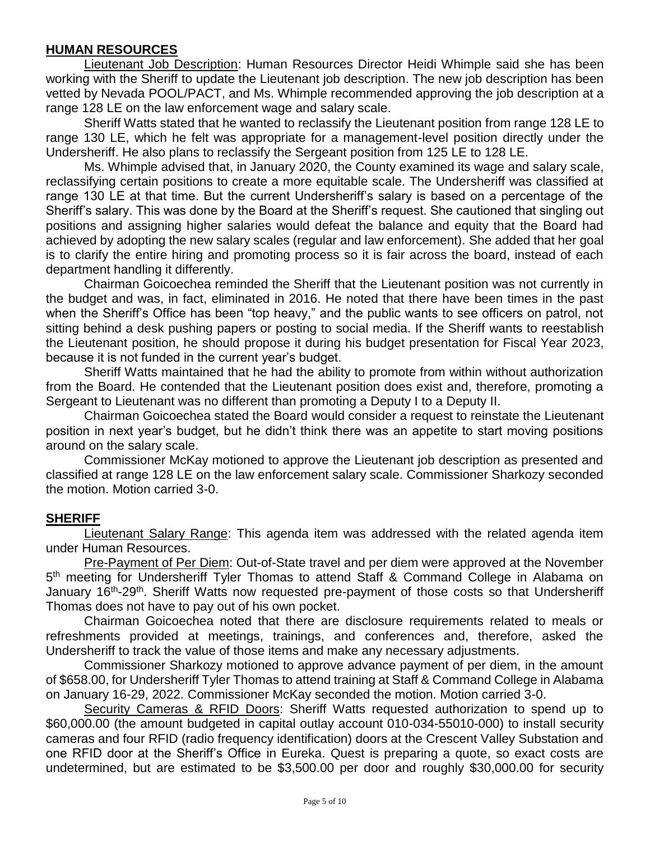## **HUMAN RESOURCES**

Lieutenant Job Description: Human Resources Director Heidi Whimple said she has been working with the Sheriff to update the Lieutenant job description. The new job description has been vetted by Nevada POOL/PACT, and Ms. Whimple recommended approving the job description at a range 128 LE on the law enforcement wage and salary scale.

Sheriff Watts stated that he wanted to reclassify the Lieutenant position from range 128 LE to range 130 LE, which he felt was appropriate for a management-level position directly under the Undersheriff. He also plans to reclassify the Sergeant position from 125 LE to 128 LE.

Ms. Whimple advised that, in January 2020, the County examined its wage and salary scale, reclassifying certain positions to create a more equitable scale. The Undersheriff was classified at range 130 LE at that time. But the current Undersheriff's salary is based on a percentage of the Sheriff's salary. This was done by the Board at the Sheriff's request. She cautioned that singling out positions and assigning higher salaries would defeat the balance and equity that the Board had achieved by adopting the new salary scales (regular and law enforcement). She added that her goal is to clarify the entire hiring and promoting process so it is fair across the board, instead of each department handling it differently.

Chairman Goicoechea reminded the Sheriff that the Lieutenant position was not currently in the budget and was, in fact, eliminated in 2016. He noted that there have been times in the past when the Sheriff's Office has been "top heavy," and the public wants to see officers on patrol, not sitting behind a desk pushing papers or posting to social media. If the Sheriff wants to reestablish the Lieutenant position, he should propose it during his budget presentation for Fiscal Year 2023, because it is not funded in the current year's budget.

Sheriff Watts maintained that he had the ability to promote from within without authorization from the Board. He contended that the Lieutenant position does exist and, therefore, promoting a Sergeant to Lieutenant was no different than promoting a Deputy I to a Deputy II.

Chairman Goicoechea stated the Board would consider a request to reinstate the Lieutenant position in next year's budget, but he didn't think there was an appetite to start moving positions around on the salary scale.

Commissioner McKay motioned to approve the Lieutenant job description as presented and classified at range 128 LE on the law enforcement salary scale. Commissioner Sharkozy seconded the motion. Motion carried 3-0.

## **SHERIFF**

Lieutenant Salary Range: This agenda item was addressed with the related agenda item under Human Resources.

Pre-Payment of Per Diem: Out-of-State travel and per diem were approved at the November 5<sup>th</sup> meeting for Undersheriff Tyler Thomas to attend Staff & Command College in Alabama on January 16<sup>th</sup>-29<sup>th</sup>. Sheriff Watts now requested pre-payment of those costs so that Undersheriff Thomas does not have to pay out of his own pocket.

Chairman Goicoechea noted that there are disclosure requirements related to meals or refreshments provided at meetings, trainings, and conferences and, therefore, asked the Undersheriff to track the value of those items and make any necessary adjustments.

Commissioner Sharkozy motioned to approve advance payment of per diem, in the amount of \$658.00, for Undersheriff Tyler Thomas to attend training at Staff & Command College in Alabama on January 16-29, 2022. Commissioner McKay seconded the motion. Motion carried 3-0.

Security Cameras & RFID Doors: Sheriff Watts requested authorization to spend up to \$60,000.00 (the amount budgeted in capital outlay account 010-034-55010-000) to install security cameras and four RFID (radio frequency identification) doors at the Crescent Valley Substation and one RFID door at the Sheriff's Office in Eureka. Quest is preparing a quote, so exact costs are undetermined, but are estimated to be \$3,500.00 per door and roughly \$30,000.00 for security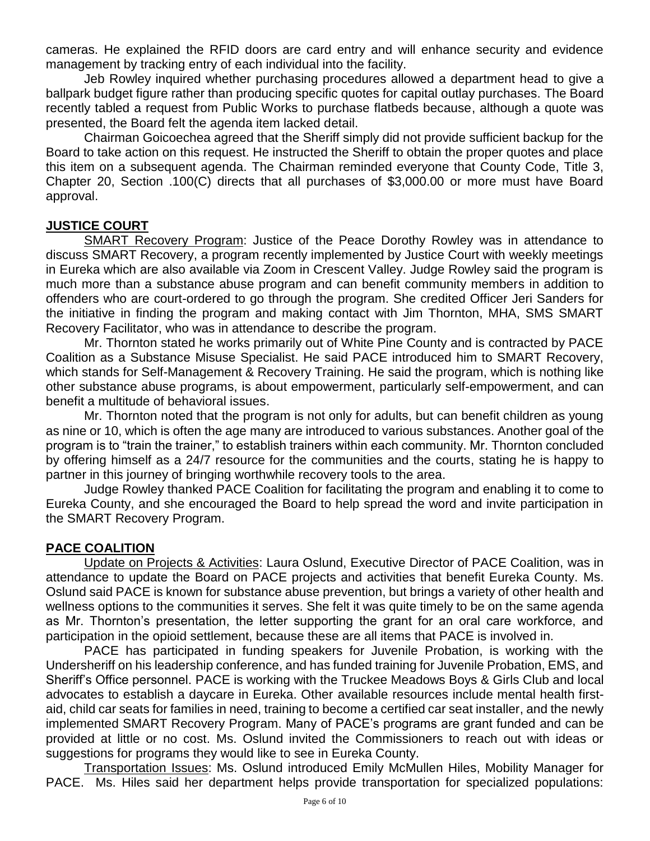cameras. He explained the RFID doors are card entry and will enhance security and evidence management by tracking entry of each individual into the facility.

Jeb Rowley inquired whether purchasing procedures allowed a department head to give a ballpark budget figure rather than producing specific quotes for capital outlay purchases. The Board recently tabled a request from Public Works to purchase flatbeds because, although a quote was presented, the Board felt the agenda item lacked detail.

Chairman Goicoechea agreed that the Sheriff simply did not provide sufficient backup for the Board to take action on this request. He instructed the Sheriff to obtain the proper quotes and place this item on a subsequent agenda. The Chairman reminded everyone that County Code, Title 3, Chapter 20, Section .100(C) directs that all purchases of \$3,000.00 or more must have Board approval.

### **JUSTICE COURT**

SMART Recovery Program: Justice of the Peace Dorothy Rowley was in attendance to discuss SMART Recovery, a program recently implemented by Justice Court with weekly meetings in Eureka which are also available via Zoom in Crescent Valley. Judge Rowley said the program is much more than a substance abuse program and can benefit community members in addition to offenders who are court-ordered to go through the program. She credited Officer Jeri Sanders for the initiative in finding the program and making contact with Jim Thornton, MHA, SMS SMART Recovery Facilitator, who was in attendance to describe the program.

Mr. Thornton stated he works primarily out of White Pine County and is contracted by PACE Coalition as a Substance Misuse Specialist. He said PACE introduced him to SMART Recovery, which stands for Self-Management & Recovery Training. He said the program, which is nothing like other substance abuse programs, is about empowerment, particularly self-empowerment, and can benefit a multitude of behavioral issues.

Mr. Thornton noted that the program is not only for adults, but can benefit children as young as nine or 10, which is often the age many are introduced to various substances. Another goal of the program is to "train the trainer," to establish trainers within each community. Mr. Thornton concluded by offering himself as a 24/7 resource for the communities and the courts, stating he is happy to partner in this journey of bringing worthwhile recovery tools to the area.

Judge Rowley thanked PACE Coalition for facilitating the program and enabling it to come to Eureka County, and she encouraged the Board to help spread the word and invite participation in the SMART Recovery Program.

## **PACE COALITION**

Update on Projects & Activities: Laura Oslund, Executive Director of PACE Coalition, was in attendance to update the Board on PACE projects and activities that benefit Eureka County. Ms. Oslund said PACE is known for substance abuse prevention, but brings a variety of other health and wellness options to the communities it serves. She felt it was quite timely to be on the same agenda as Mr. Thornton's presentation, the letter supporting the grant for an oral care workforce, and participation in the opioid settlement, because these are all items that PACE is involved in.

PACE has participated in funding speakers for Juvenile Probation, is working with the Undersheriff on his leadership conference, and has funded training for Juvenile Probation, EMS, and Sheriff's Office personnel. PACE is working with the Truckee Meadows Boys & Girls Club and local advocates to establish a daycare in Eureka. Other available resources include mental health firstaid, child car seats for families in need, training to become a certified car seat installer, and the newly implemented SMART Recovery Program. Many of PACE's programs are grant funded and can be provided at little or no cost. Ms. Oslund invited the Commissioners to reach out with ideas or suggestions for programs they would like to see in Eureka County.

Transportation Issues: Ms. Oslund introduced Emily McMullen Hiles, Mobility Manager for PACE. Ms. Hiles said her department helps provide transportation for specialized populations: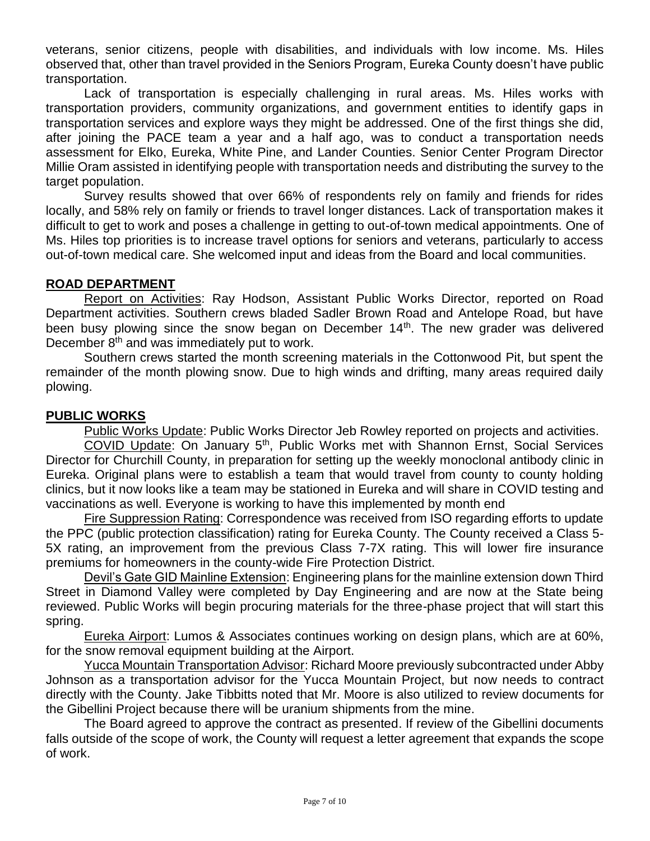veterans, senior citizens, people with disabilities, and individuals with low income. Ms. Hiles observed that, other than travel provided in the Seniors Program, Eureka County doesn't have public transportation.

Lack of transportation is especially challenging in rural areas. Ms. Hiles works with transportation providers, community organizations, and government entities to identify gaps in transportation services and explore ways they might be addressed. One of the first things she did, after joining the PACE team a year and a half ago, was to conduct a transportation needs assessment for Elko, Eureka, White Pine, and Lander Counties. Senior Center Program Director Millie Oram assisted in identifying people with transportation needs and distributing the survey to the target population.

Survey results showed that over 66% of respondents rely on family and friends for rides locally, and 58% rely on family or friends to travel longer distances. Lack of transportation makes it difficult to get to work and poses a challenge in getting to out-of-town medical appointments. One of Ms. Hiles top priorities is to increase travel options for seniors and veterans, particularly to access out-of-town medical care. She welcomed input and ideas from the Board and local communities.

## **ROAD DEPARTMENT**

Report on Activities: Ray Hodson, Assistant Public Works Director, reported on Road Department activities. Southern crews bladed Sadler Brown Road and Antelope Road, but have been busy plowing since the snow began on December 14<sup>th</sup>. The new grader was delivered December  $8<sup>th</sup>$  and was immediately put to work.

Southern crews started the month screening materials in the Cottonwood Pit, but spent the remainder of the month plowing snow. Due to high winds and drifting, many areas required daily plowing.

## **PUBLIC WORKS**

Public Works Update: Public Works Director Jeb Rowley reported on projects and activities.

COVID Update: On January 5th, Public Works met with Shannon Ernst, Social Services Director for Churchill County, in preparation for setting up the weekly monoclonal antibody clinic in Eureka. Original plans were to establish a team that would travel from county to county holding clinics, but it now looks like a team may be stationed in Eureka and will share in COVID testing and vaccinations as well. Everyone is working to have this implemented by month end

Fire Suppression Rating: Correspondence was received from ISO regarding efforts to update the PPC (public protection classification) rating for Eureka County. The County received a Class 5- 5X rating, an improvement from the previous Class 7-7X rating. This will lower fire insurance premiums for homeowners in the county-wide Fire Protection District.

Devil's Gate GID Mainline Extension: Engineering plans for the mainline extension down Third Street in Diamond Valley were completed by Day Engineering and are now at the State being reviewed. Public Works will begin procuring materials for the three-phase project that will start this spring.

Eureka Airport: Lumos & Associates continues working on design plans, which are at 60%, for the snow removal equipment building at the Airport.

Yucca Mountain Transportation Advisor: Richard Moore previously subcontracted under Abby Johnson as a transportation advisor for the Yucca Mountain Project, but now needs to contract directly with the County. Jake Tibbitts noted that Mr. Moore is also utilized to review documents for the Gibellini Project because there will be uranium shipments from the mine.

The Board agreed to approve the contract as presented. If review of the Gibellini documents falls outside of the scope of work, the County will request a letter agreement that expands the scope of work.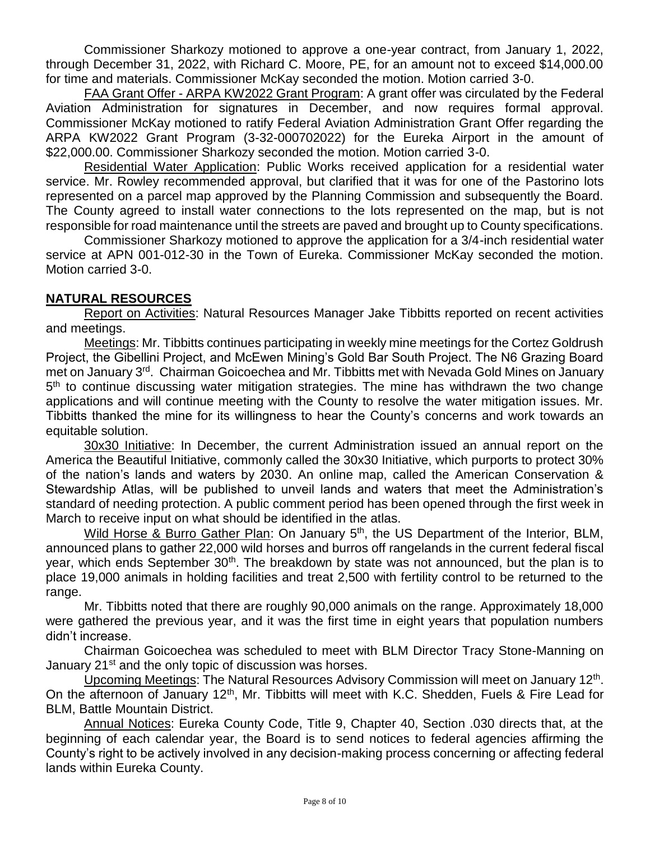Commissioner Sharkozy motioned to approve a one-year contract, from January 1, 2022, through December 31, 2022, with Richard C. Moore, PE, for an amount not to exceed \$14,000.00 for time and materials. Commissioner McKay seconded the motion. Motion carried 3-0.

FAA Grant Offer - ARPA KW2022 Grant Program: A grant offer was circulated by the Federal Aviation Administration for signatures in December, and now requires formal approval. Commissioner McKay motioned to ratify Federal Aviation Administration Grant Offer regarding the ARPA KW2022 Grant Program (3-32-000702022) for the Eureka Airport in the amount of \$22,000.00. Commissioner Sharkozy seconded the motion. Motion carried 3-0.

Residential Water Application: Public Works received application for a residential water service. Mr. Rowley recommended approval, but clarified that it was for one of the Pastorino lots represented on a parcel map approved by the Planning Commission and subsequently the Board. The County agreed to install water connections to the lots represented on the map, but is not responsible for road maintenance until the streets are paved and brought up to County specifications.

Commissioner Sharkozy motioned to approve the application for a 3/4-inch residential water service at APN 001-012-30 in the Town of Eureka. Commissioner McKay seconded the motion. Motion carried 3-0.

## **NATURAL RESOURCES**

Report on Activities: Natural Resources Manager Jake Tibbitts reported on recent activities and meetings.

Meetings: Mr. Tibbitts continues participating in weekly mine meetings for the Cortez Goldrush Project, the Gibellini Project, and McEwen Mining's Gold Bar South Project. The N6 Grazing Board met on January 3<sup>rd</sup>. Chairman Goicoechea and Mr. Tibbitts met with Nevada Gold Mines on January 5<sup>th</sup> to continue discussing water mitigation strategies. The mine has withdrawn the two change applications and will continue meeting with the County to resolve the water mitigation issues. Mr. Tibbitts thanked the mine for its willingness to hear the County's concerns and work towards an equitable solution.

30x30 Initiative: In December, the current Administration issued an annual report on the America the Beautiful Initiative, commonly called the 30x30 Initiative, which purports to protect 30% of the nation's lands and waters by 2030. An online map, called the American Conservation & Stewardship Atlas, will be published to unveil lands and waters that meet the Administration's standard of needing protection. A public comment period has been opened through the first week in March to receive input on what should be identified in the atlas.

Wild Horse & Burro Gather Plan: On January 5<sup>th</sup>, the US Department of the Interior, BLM, announced plans to gather 22,000 wild horses and burros off rangelands in the current federal fiscal year, which ends September  $30<sup>th</sup>$ . The breakdown by state was not announced, but the plan is to place 19,000 animals in holding facilities and treat 2,500 with fertility control to be returned to the range.

Mr. Tibbitts noted that there are roughly 90,000 animals on the range. Approximately 18,000 were gathered the previous year, and it was the first time in eight years that population numbers didn't increase.

Chairman Goicoechea was scheduled to meet with BLM Director Tracy Stone-Manning on January 21<sup>st</sup> and the only topic of discussion was horses.

Upcoming Meetings: The Natural Resources Advisory Commission will meet on January 12<sup>th</sup>. On the afternoon of January 12<sup>th</sup>, Mr. Tibbitts will meet with K.C. Shedden, Fuels & Fire Lead for BLM, Battle Mountain District.

Annual Notices: Eureka County Code, Title 9, Chapter 40, Section .030 directs that, at the beginning of each calendar year, the Board is to send notices to federal agencies affirming the County's right to be actively involved in any decision-making process concerning or affecting federal lands within Eureka County.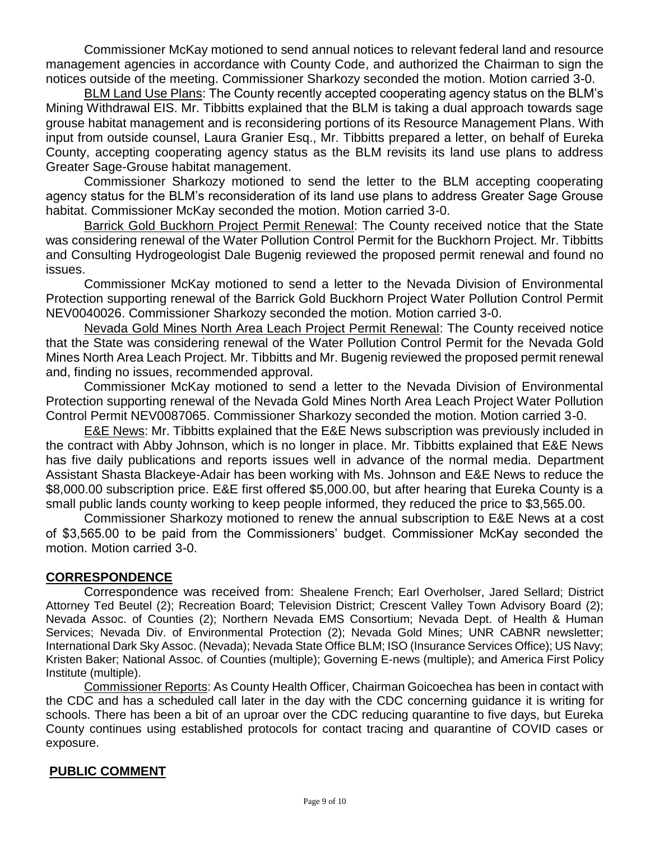Commissioner McKay motioned to send annual notices to relevant federal land and resource management agencies in accordance with County Code, and authorized the Chairman to sign the notices outside of the meeting. Commissioner Sharkozy seconded the motion. Motion carried 3-0.

BLM Land Use Plans: The County recently accepted cooperating agency status on the BLM's Mining Withdrawal EIS. Mr. Tibbitts explained that the BLM is taking a dual approach towards sage grouse habitat management and is reconsidering portions of its Resource Management Plans. With input from outside counsel, Laura Granier Esq., Mr. Tibbitts prepared a letter, on behalf of Eureka County, accepting cooperating agency status as the BLM revisits its land use plans to address Greater Sage-Grouse habitat management.

Commissioner Sharkozy motioned to send the letter to the BLM accepting cooperating agency status for the BLM's reconsideration of its land use plans to address Greater Sage Grouse habitat. Commissioner McKay seconded the motion. Motion carried 3-0.

Barrick Gold Buckhorn Project Permit Renewal: The County received notice that the State was considering renewal of the Water Pollution Control Permit for the Buckhorn Project. Mr. Tibbitts and Consulting Hydrogeologist Dale Bugenig reviewed the proposed permit renewal and found no issues.

Commissioner McKay motioned to send a letter to the Nevada Division of Environmental Protection supporting renewal of the Barrick Gold Buckhorn Project Water Pollution Control Permit NEV0040026. Commissioner Sharkozy seconded the motion. Motion carried 3-0.

Nevada Gold Mines North Area Leach Project Permit Renewal: The County received notice that the State was considering renewal of the Water Pollution Control Permit for the Nevada Gold Mines North Area Leach Project. Mr. Tibbitts and Mr. Bugenig reviewed the proposed permit renewal and, finding no issues, recommended approval.

Commissioner McKay motioned to send a letter to the Nevada Division of Environmental Protection supporting renewal of the Nevada Gold Mines North Area Leach Project Water Pollution Control Permit NEV0087065. Commissioner Sharkozy seconded the motion. Motion carried 3-0.

E&E News: Mr. Tibbitts explained that the E&E News subscription was previously included in the contract with Abby Johnson, which is no longer in place. Mr. Tibbitts explained that E&E News has five daily publications and reports issues well in advance of the normal media. Department Assistant Shasta Blackeye-Adair has been working with Ms. Johnson and E&E News to reduce the \$8,000.00 subscription price. E&E first offered \$5,000.00, but after hearing that Eureka County is a small public lands county working to keep people informed, they reduced the price to \$3,565.00.

Commissioner Sharkozy motioned to renew the annual subscription to E&E News at a cost of \$3,565.00 to be paid from the Commissioners' budget. Commissioner McKay seconded the motion. Motion carried 3-0.

## **CORRESPONDENCE**

Correspondence was received from: Shealene French; Earl Overholser, Jared Sellard; District Attorney Ted Beutel (2); Recreation Board; Television District; Crescent Valley Town Advisory Board (2); Nevada Assoc. of Counties (2); Northern Nevada EMS Consortium; Nevada Dept. of Health & Human Services; Nevada Div. of Environmental Protection (2); Nevada Gold Mines; UNR CABNR newsletter; International Dark Sky Assoc. (Nevada); Nevada State Office BLM; ISO (Insurance Services Office); US Navy; Kristen Baker; National Assoc. of Counties (multiple); Governing E-news (multiple); and America First Policy Institute (multiple).

Commissioner Reports: As County Health Officer, Chairman Goicoechea has been in contact with the CDC and has a scheduled call later in the day with the CDC concerning guidance it is writing for schools. There has been a bit of an uproar over the CDC reducing quarantine to five days, but Eureka County continues using established protocols for contact tracing and quarantine of COVID cases or exposure.

### **PUBLIC COMMENT**